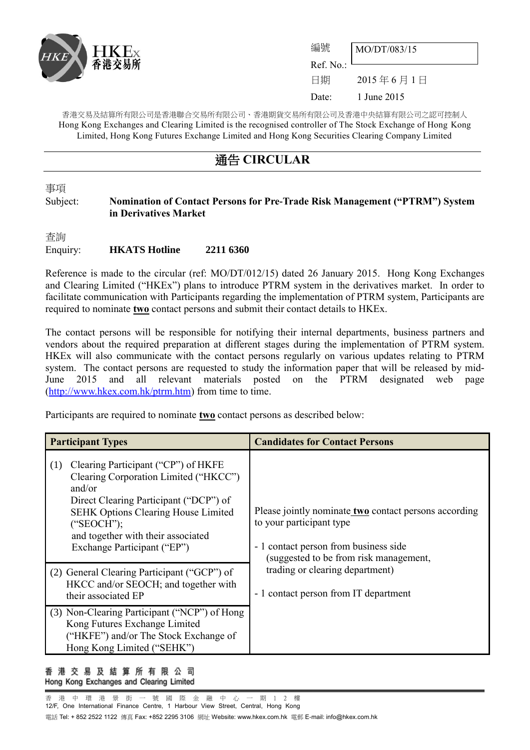

| 編號                     | MO/DT/083/15 |
|------------------------|--------------|
| Ref. No.: <sup>1</sup> |              |
| 日期                     | 2015年6月1日    |
| Date:                  | 1 June 2015  |

香港交易及結算所有限公司是香港聯合交易所有限公司、香港期貨交易所有限公司及香港中央結算有限公司之認可控制人 Hong Kong Exchanges and Clearing Limited is the recognised controller of The Stock Exchange of Hong Kong Limited, Hong Kong Futures Exchange Limited and Hong Kong Securities Clearing Company Limited

## 通告 **CIRCULAR**

事項

### Subject: **Nomination of Contact Persons for Pre-Trade Risk Management ("PTRM") System in Derivatives Market**

杳詢 Enquiry: **HKATS Hotline 2211 6360**

Reference is made to the circular (ref: MO/DT/012/15) dated 26 January 2015. Hong Kong Exchanges and Clearing Limited ("HKEx") plans to introduce PTRM system in the derivatives market. In order to facilitate communication with Participants regarding the implementation of PTRM system, Participants are required to nominate **two** contact persons and submit their contact details to HKEx.

The contact persons will be responsible for notifying their internal departments, business partners and vendors about the required preparation at different stages during the implementation of PTRM system. HKEx will also communicate with the contact persons regularly on various updates relating to PTRM system. The contact persons are requested to study the information paper that will be released by mid-June 2015 and all relevant materials posted on the PTRM designated web page [\(http://www.hkex.com.hk/ptrm.htm\)](http://www.hkex.com.hk/ptrm.htm) from time to time.

Participants are required to nominate **two** contact persons as described below:

| <b>Participant Types</b>                                                                                                                                                                                                                                                                                                | <b>Candidates for Contact Persons</b>                                                                                                                                                                                                            |
|-------------------------------------------------------------------------------------------------------------------------------------------------------------------------------------------------------------------------------------------------------------------------------------------------------------------------|--------------------------------------------------------------------------------------------------------------------------------------------------------------------------------------------------------------------------------------------------|
| Clearing Participant ("CP") of HKFE<br>(1)<br>Clearing Corporation Limited ("HKCC")<br>and/or<br>Direct Clearing Participant ("DCP") of<br><b>SEHK Options Clearing House Limited</b><br>("SEOCH");<br>and together with their associated<br>Exchange Participant ("EP")<br>(2) General Clearing Participant ("GCP") of | Please jointly nominate two contact persons according<br>to your participant type<br>- 1 contact person from business side<br>(suggested to be from risk management,<br>trading or clearing department)<br>- 1 contact person from IT department |
| HKCC and/or SEOCH; and together with<br>their associated EP                                                                                                                                                                                                                                                             |                                                                                                                                                                                                                                                  |
| (3) Non-Clearing Participant ("NCP") of Hong<br>Kong Futures Exchange Limited<br>("HKFE") and/or The Stock Exchange of<br>Hong Kong Limited ("SEHK")                                                                                                                                                                    |                                                                                                                                                                                                                                                  |

#### 香 港 交 易 及 結 算 所 有 限 公 司 Hong Kong Exchanges and Clearing Limited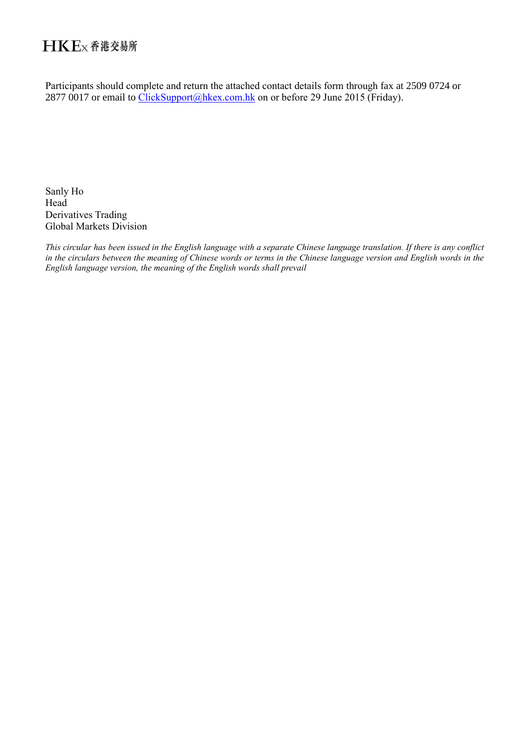## HKEx香港交易所

Participants should complete and return the attached contact details form through fax at 2509 0724 or 2877 0017 or email to [ClickSupport@hkex.com.hk](mailto:ClickSupport@hkex.com.hk) on or before 29 June 2015 (Friday).

Sanly Ho Head Derivatives Trading Global Markets Division

*This circular has been issued in the English language with a separate Chinese language translation. If there is any conflict in the circulars between the meaning of Chinese words or terms in the Chinese language version and English words in the English language version, the meaning of the English words shall prevail*